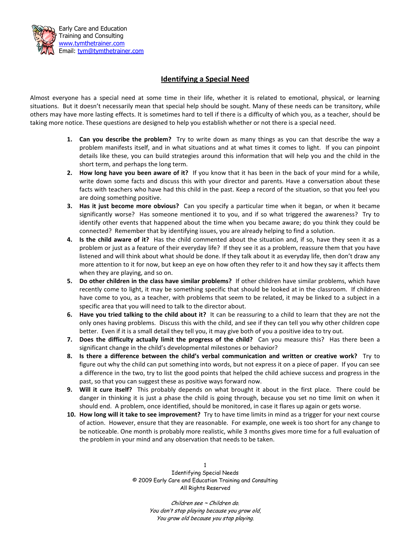

## **Identifying a Special Need**

Almost everyone has a special need at some time in their life, whether it is related to emotional, physical, or learning situations. But it doesn't necessarily mean that special help should be sought. Many of these needs can be transitory, while others may have more lasting effects. It is sometimes hard to tell if there is a difficulty of which you, as a teacher, should be taking more notice. These questions are designed to help you establish whether or not there is a special need.

- **1. Can you describe the problem?** Try to write down as many things as you can that describe the way a problem manifests itself, and in what situations and at what times it comes to light. If you can pinpoint details like these, you can build strategies around this information that will help you and the child in the short term, and perhaps the long term.
- **2. How long have you been aware of it?** If you know that it has been in the back of your mind for a while, write down some facts and discuss this with your director and parents. Have a conversation about these facts with teachers who have had this child in the past. Keep a record of the situation, so that you feel you are doing something positive.
- **3. Has it just become more obvious?** Can you specify a particular time when it began, or when it became significantly worse? Has someone mentioned it to you, and if so what triggered the awareness? Try to identify other events that happened about the time when you became aware; do you think they could be connected? Remember that by identifying issues, you are already helping to find a solution.
- **4. Is the child aware of it?** Has the child commented about the situation and, if so, have they seen it as a problem or just as a feature of their everyday life? If they see it as a problem, reassure them that you have listened and will think about what should be done. If they talk about it as everyday life, then don't draw any more attention to it for now, but keep an eye on how often they refer to it and how they say it affects them when they are playing, and so on.
- **5. Do other children in the class have similar problems?** If other children have similar problems, which have recently come to light, it may be something specific that should be looked at in the classroom. If children have come to you, as a teacher, with problems that seem to be related, it may be linked to a subject in a specific area that you will need to talk to the director about.
- **6. Have you tried talking to the child about it?** It can be reassuring to a child to learn that they are not the only ones having problems. Discuss this with the child, and see if they can tell you why other children cope better. Even if it is a small detail they tell you, it may give both of you a positive idea to try out.
- **7. Does the difficulty actually limit the progress of the child?** Can you measure this? Has there been a significant change in the child's developmental milestones or behavior?
- **8. Is there a difference between the child's verbal communication and written or creative work?** Try to figure out why the child can put something into words, but not express it on a piece of paper. If you can see a difference in the two, try to list the good points that helped the child achieve success and progress in the past, so that you can suggest these as positive ways forward now.
- **9. Will it cure itself?** This probably depends on what brought it about in the first place. There could be danger in thinking it is just a phase the child is going through, because you set no time limit on when it should end. A problem, once identified, should be monitored, in case it flares up again or gets worse.
- **10. How long will it take to see improvement?** Try to have time limits in mind as a trigger for your next course of action. However, ensure that they are reasonable. For example, one week is too short for any change to be noticeable. One month is probably more realistic, while 3 months gives more time for a full evaluation of the problem in your mind and any observation that needs to be taken.

1 Identifying Special Needs © 2009 Early Care and Education Training and Consulting All Rights Reserved

> Children see ~ Children do. You don't stop playing because you grow old, You grow old because you stop playing.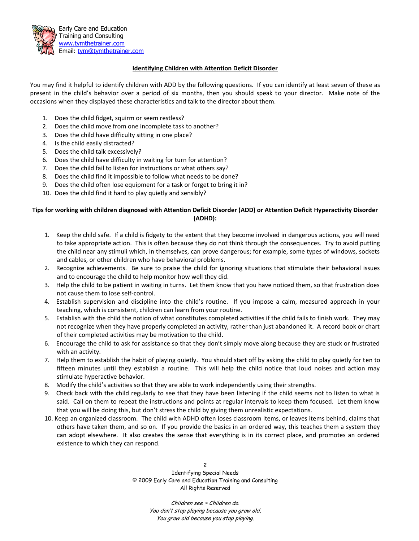

## **Identifying Children with Attention Deficit Disorder**

You may find it helpful to identify children with ADD by the following questions. If you can identify at least seven of these as present in the child's behavior over a period of six months, then you should speak to your director. Make note of the occasions when they displayed these characteristics and talk to the director about them.

- 1. Does the child fidget, squirm or seem restless?
- 2. Does the child move from one incomplete task to another?
- 3. Does the child have difficulty sitting in one place?
- 4. Is the child easily distracted?
- 5. Does the child talk excessively?
- 6. Does the child have difficulty in waiting for turn for attention?
- 7. Does the child fail to listen for instructions or what others say?
- 8. Does the child find it impossible to follow what needs to be done?
- 9. Does the child often lose equipment for a task or forget to bring it in?
- 10. Does the child find it hard to play quietly and sensibly?

## **Tips for working with children diagnosed with Attention Deficit Disorder (ADD) or Attention Deficit Hyperactivity Disorder (ADHD):**

- 1. Keep the child safe. If a child is fidgety to the extent that they become involved in dangerous actions, you will need to take appropriate action. This is often because they do not think through the consequences. Try to avoid putting the child near any stimuli which, in themselves, can prove dangerous; for example, some types of windows, sockets and cables, or other children who have behavioral problems.
- 2. Recognize achievements. Be sure to praise the child for ignoring situations that stimulate their behavioral issues and to encourage the child to help monitor how well they did.
- 3. Help the child to be patient in waiting in turns. Let them know that you have noticed them, so that frustration does not cause them to lose self-control.
- 4. Establish supervision and discipline into the child's routine. If you impose a calm, measured approach in your teaching, which is consistent, children can learn from your routine.
- 5. Establish with the child the notion of what constitutes completed activities if the child fails to finish work. They may not recognize when they have properly completed an activity, rather than just abandoned it. A record book or chart of their completed activities may be motivation to the child.
- 6. Encourage the child to ask for assistance so that they don't simply move along because they are stuck or frustrated with an activity.
- 7. Help them to establish the habit of playing quietly. You should start off by asking the child to play quietly for ten to fifteen minutes until they establish a routine. This will help the child notice that loud noises and action may stimulate hyperactive behavior.
- 8. Modify the child's activities so that they are able to work independently using their strengths.
- 9. Check back with the child regularly to see that they have been listening if the child seems not to listen to what is said. Call on them to repeat the instructions and points at regular intervals to keep them focused. Let them know that you will be doing this, but don't stress the child by giving them unrealistic expectations.
- 10. Keep an organized classroom. The child with ADHD often loses classroom items, or leaves items behind, claims that others have taken them, and so on. If you provide the basics in an ordered way, this teaches them a system they can adopt elsewhere. It also creates the sense that everything is in its correct place, and promotes an ordered existence to which they can respond.

2 Identifying Special Needs © 2009 Early Care and Education Training and Consulting All Rights Reserved

> Children see ~ Children do. You don't stop playing because you grow old, You grow old because you stop playing.